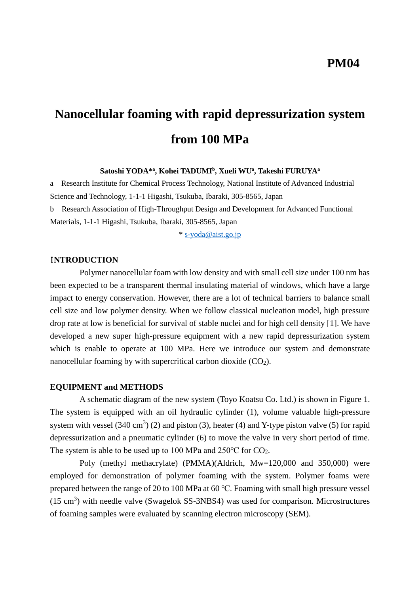# **Nanocellular foaming with rapid depressurization system from 100 MPa**

#### **Satoshi YODA\* a , Kohei TADUMI<sup>b</sup> , Xueli WU<sup>a</sup> , Takeshi FURUYA<sup>a</sup>**

a Research Institute for Chemical Process Technology, National Institute of Advanced Industrial Science and Technology, 1-1-1 Higashi, Tsukuba, Ibaraki, 305-8565, Japan b Research Association of High-Throughput Design and Development for Advanced Functional Materials, 1-1-1 Higashi, Tsukuba, Ibaraki, 305-8565, Japan

\* [s-yoda@aist.go.jp](mailto:s-yoda@aist.go.jp)

### I**NTRODUCTION**

Polymer nanocellular foam with low density and with small cell size under 100 nm has been expected to be a transparent thermal insulating material of windows, which have a large impact to energy conservation. However, there are a lot of technical barriers to balance small cell size and low polymer density. When we follow classical nucleation model, high pressure drop rate at low is beneficial for survival of stable nuclei and for high cell density [1]. We have developed a new super high-pressure equipment with a new rapid depressurization system which is enable to operate at 100 MPa. Here we introduce our system and demonstrate nanocellular foaming by with supercritical carbon dioxide  $(CO<sub>2</sub>)$ .

#### **EQUIPMENT and METHODS**

A schematic diagram of the new system (Toyo Koatsu Co. Ltd.) is shown in Figure 1. The system is equipped with an oil hydraulic cylinder (1), volume valuable high-pressure system with vessel  $(340 \text{ cm}^3)$  (2) and piston (3), heater (4) and Y-type piston valve (5) for rapid depressurization and a pneumatic cylinder (6) to move the valve in very short period of time. The system is able to be used up to 100 MPa and  $250^{\circ}$ C for CO<sub>2</sub>.

Poly (methyl methacrylate) (PMMA)(Aldrich, Mw=120,000 and 350,000) were employed for demonstration of polymer foaming with the system. Polymer foams were prepared between the range of 20 to 100 MPa at 60 ℃. Foaming with small high pressure vessel  $(15 \text{ cm}^3)$  with needle valve (Swagelok SS-3NBS4) was used for comparison. Microstructures of foaming samples were evaluated by scanning electron microscopy (SEM).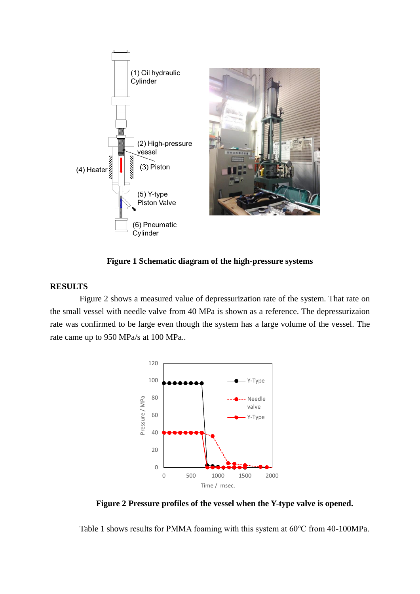

**Figure 1 Schematic diagram of the high-pressure systems**

### **RESULTS**

Figure 2 shows a measured value of depressurization rate of the system. That rate on the small vessel with needle valve from 40 MPa is shown as a reference. The depressurizaion rate was confirmed to be large even though the system has a large volume of the vessel. The rate came up to 950 MPa/s at 100 MPa..



**Figure 2 Pressure profiles of the vessel when the Y-type valve is opened.**

Table 1 shows results for PMMA foaming with this system at 60℃ from 40-100MPa.